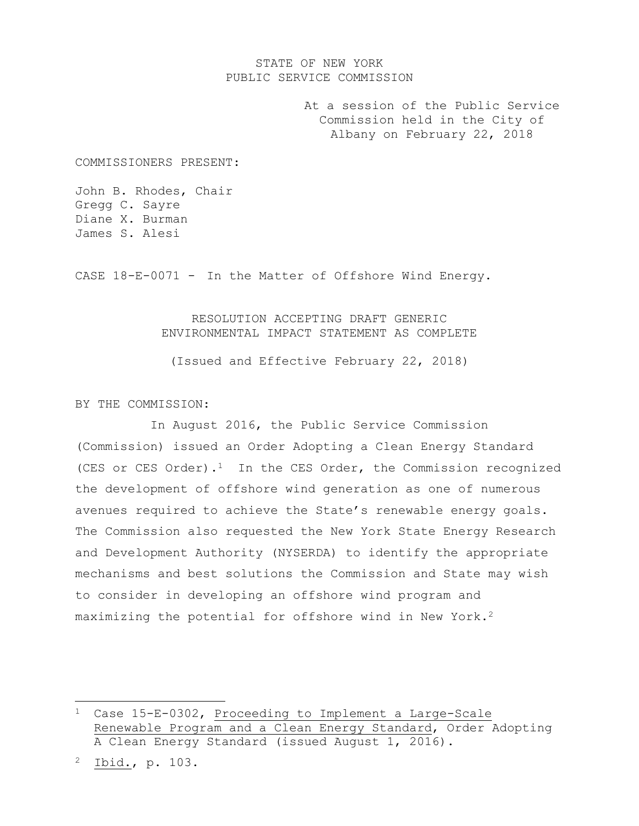# STATE OF NEW YORK PUBLIC SERVICE COMMISSION

At a session of the Public Service Commission held in the City of Albany on February 22, 2018

COMMISSIONERS PRESENT:

John B. Rhodes, Chair Gregg C. Sayre Diane X. Burman James S. Alesi

CASE 18-E-0071 - In the Matter of Offshore Wind Energy.

#### RESOLUTION ACCEPTING DRAFT GENERIC ENVIRONMENTAL IMPACT STATEMENT AS COMPLETE

(Issued and Effective February 22, 2018)

BY THE COMMISSION:

In August 2016, the Public Service Commission (Commission) issued an Order Adopting a Clean Energy Standard (CES or CES Order). $<sup>1</sup>$  In the CES Order, the Commission recognized</sup> the development of offshore wind generation as one of numerous avenues required to achieve the State's renewable energy goals. The Commission also requested the New York State Energy Research and Development Authority (NYSERDA) to identify the appropriate mechanisms and best solutions the Commission and State may wish to consider in developing an offshore wind program and maximizing the potential for offshore wind in New York.<sup>2</sup>

 $\overline{\phantom{a}}$ 

<sup>1</sup> Case 15-E-0302, Proceeding to Implement a Large-Scale Renewable Program and a Clean Energy Standard, Order Adopting A Clean Energy Standard (issued August 1, 2016).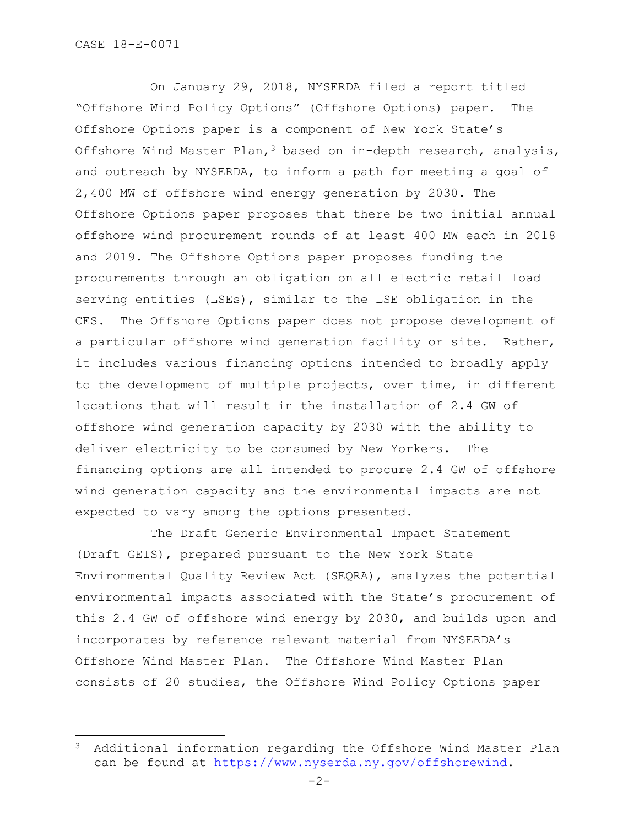$\overline{\phantom{a}}$ 

On January 29, 2018, NYSERDA filed a report titled "Offshore Wind Policy Options" (Offshore Options) paper. The Offshore Options paper is a component of New York State's Offshore Wind Master Plan,<sup>3</sup> based on in-depth research, analysis, and outreach by NYSERDA, to inform a path for meeting a goal of 2,400 MW of offshore wind energy generation by 2030. The Offshore Options paper proposes that there be two initial annual offshore wind procurement rounds of at least 400 MW each in 2018 and 2019. The Offshore Options paper proposes funding the procurements through an obligation on all electric retail load serving entities (LSEs), similar to the LSE obligation in the CES. The Offshore Options paper does not propose development of a particular offshore wind generation facility or site. Rather, it includes various financing options intended to broadly apply to the development of multiple projects, over time, in different locations that will result in the installation of 2.4 GW of offshore wind generation capacity by 2030 with the ability to deliver electricity to be consumed by New Yorkers. The financing options are all intended to procure 2.4 GW of offshore wind generation capacity and the environmental impacts are not expected to vary among the options presented.

The Draft Generic Environmental Impact Statement (Draft GEIS), prepared pursuant to the New York State Environmental Quality Review Act (SEQRA), analyzes the potential environmental impacts associated with the State's procurement of this 2.4 GW of offshore wind energy by 2030, and builds upon and incorporates by reference relevant material from NYSERDA's Offshore Wind Master Plan. The Offshore Wind Master Plan consists of 20 studies, the Offshore Wind Policy Options paper

<sup>3</sup> Additional information regarding the Offshore Wind Master Plan can be found at [https://www.nyserda.ny.gov/offshorewind.](https://www.nyserda.ny.gov/offshorewind)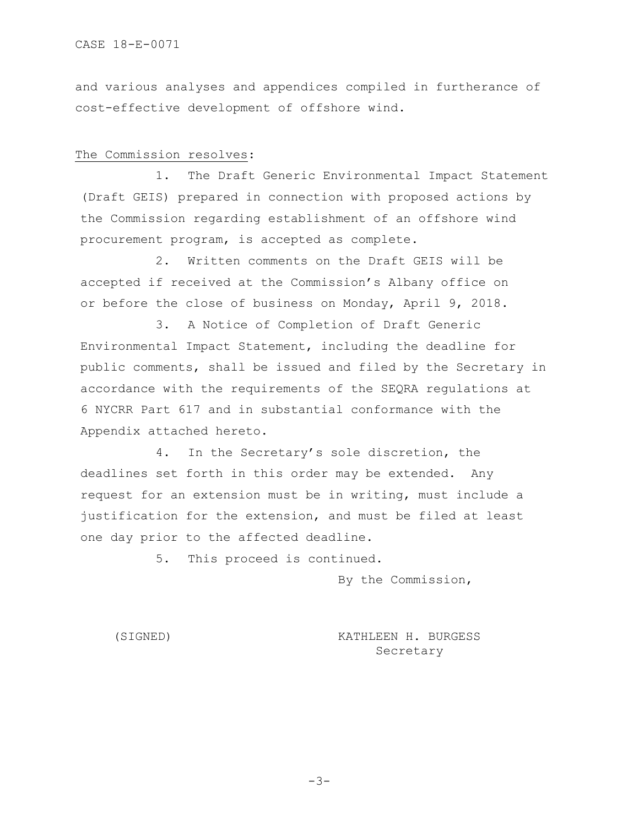and various analyses and appendices compiled in furtherance of cost-effective development of offshore wind.

# The Commission resolves:

1. The Draft Generic Environmental Impact Statement (Draft GEIS) prepared in connection with proposed actions by the Commission regarding establishment of an offshore wind procurement program, is accepted as complete.

2. Written comments on the Draft GEIS will be accepted if received at the Commission's Albany office on or before the close of business on Monday, April 9, 2018.

3. A Notice of Completion of Draft Generic Environmental Impact Statement, including the deadline for public comments, shall be issued and filed by the Secretary in accordance with the requirements of the SEQRA regulations at 6 NYCRR Part 617 and in substantial conformance with the Appendix attached hereto.

4. In the Secretary's sole discretion, the deadlines set forth in this order may be extended. Any request for an extension must be in writing, must include a justification for the extension, and must be filed at least one day prior to the affected deadline.

5. This proceed is continued.

By the Commission,

(SIGNED) KATHLEEN H. BURGESS Secretary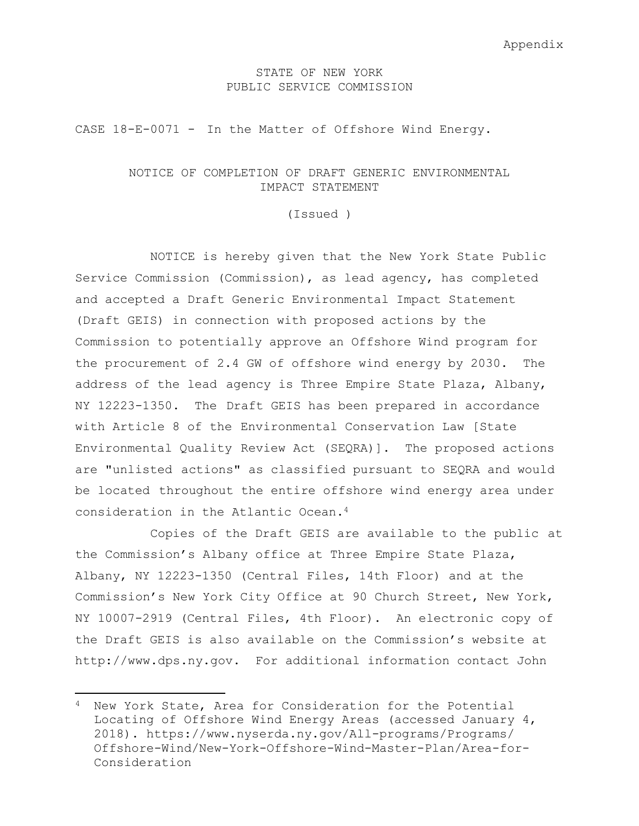#### STATE OF NEW YORK PUBLIC SERVICE COMMISSION

CASE 18-E-0071 - In the Matter of Offshore Wind Energy.

# NOTICE OF COMPLETION OF DRAFT GENERIC ENVIRONMENTAL IMPACT STATEMENT

(Issued )

NOTICE is hereby given that the New York State Public Service Commission (Commission), as lead agency, has completed and accepted a Draft Generic Environmental Impact Statement (Draft GEIS) in connection with proposed actions by the Commission to potentially approve an Offshore Wind program for the procurement of 2.4 GW of offshore wind energy by 2030. The address of the lead agency is Three Empire State Plaza, Albany, NY 12223-1350. The Draft GEIS has been prepared in accordance with Article 8 of the Environmental Conservation Law [State Environmental Quality Review Act (SEQRA)]. The proposed actions are "unlisted actions" as classified pursuant to SEQRA and would be located throughout the entire offshore wind energy area under consideration in the Atlantic Ocean.<sup>4</sup>

Copies of the Draft GEIS are available to the public at the Commission's Albany office at Three Empire State Plaza, Albany, NY 12223-1350 (Central Files, 14th Floor) and at the Commission's New York City Office at 90 Church Street, New York, NY 10007-2919 (Central Files, 4th Floor). An electronic copy of the Draft GEIS is also available on the Commission's website at http://www.dps.ny.gov. For additional information contact John

 $\overline{\phantom{a}}$ 

<sup>4</sup> New York State, Area for Consideration for the Potential Locating of Offshore Wind Energy Areas (accessed January 4, 2018). https://www.nyserda.ny.gov/All-programs/Programs/ Offshore-Wind/New-York-Offshore-Wind-Master-Plan/Area-for-Consideration